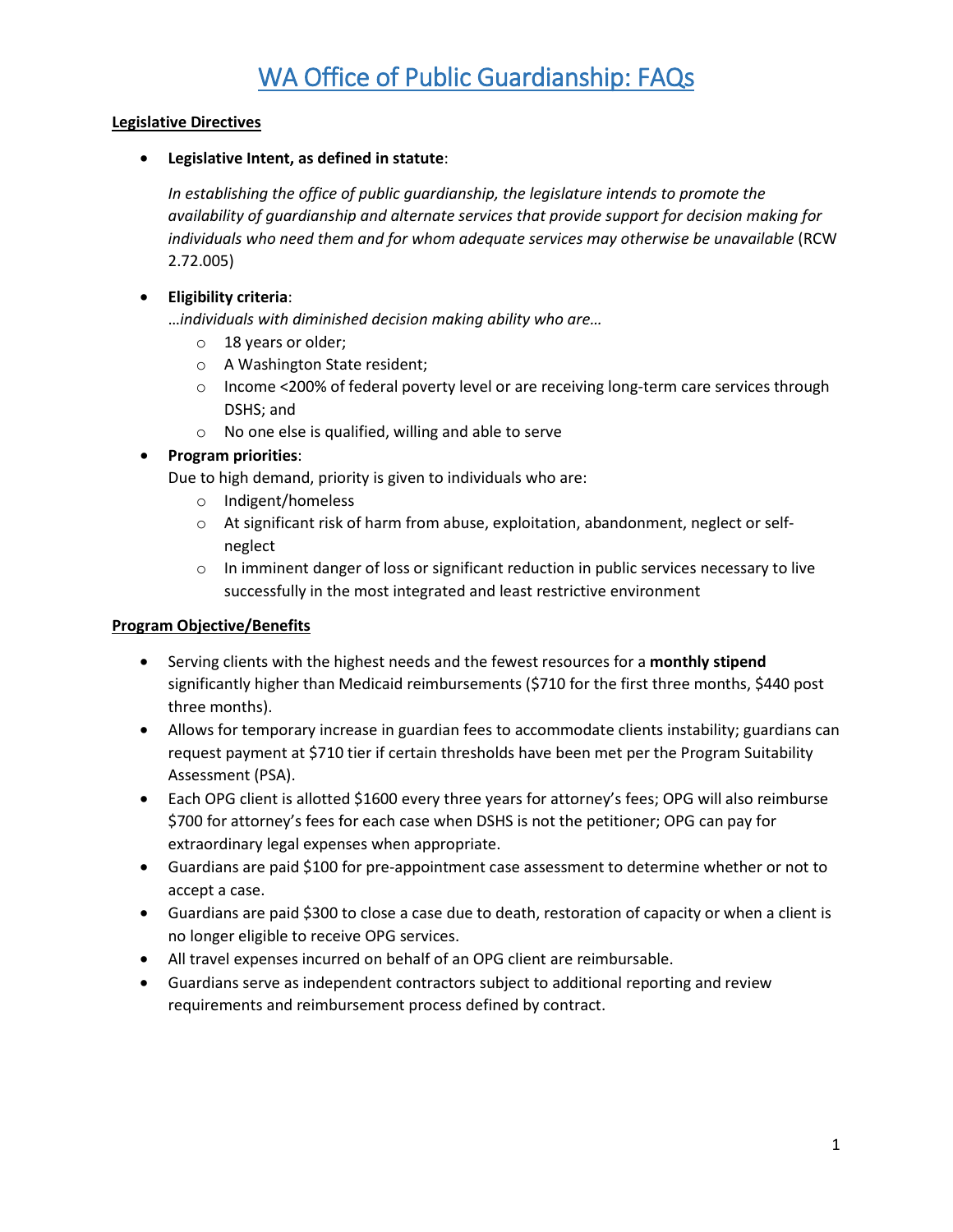# **Legislative Directives**

• **Legislative Intent, as defined in statute**:

*In establishing the office of public guardianship, the legislature intends to promote the availability of guardianship and alternate services that provide support for decision making for individuals who need them and for whom adequate services may otherwise be unavailable* (RCW 2.72.005)

# • **Eligibility criteria**:

…*individuals with diminished decision making ability who are…*

- o 18 years or older;
- o A Washington State resident;
- o Income <200% of federal poverty level or are receiving long-term care services through DSHS; and
- o No one else is qualified, willing and able to serve

# • **Program priorities**:

Due to high demand, priority is given to individuals who are:

- o Indigent/homeless
- o At significant risk of harm from abuse, exploitation, abandonment, neglect or selfneglect
- $\circ$  In imminent danger of loss or significant reduction in public services necessary to live successfully in the most integrated and least restrictive environment

# **Program Objective/Benefits**

- Serving clients with the highest needs and the fewest resources for a **monthly stipend** significantly higher than Medicaid reimbursements (\$710 for the first three months, \$440 post three months).
- Allows for temporary increase in guardian fees to accommodate clients instability; guardians can request payment at \$710 tier if certain thresholds have been met per the Program Suitability Assessment (PSA).
- Each OPG client is allotted \$1600 every three years for attorney's fees; OPG will also reimburse \$700 for attorney's fees for each case when DSHS is not the petitioner; OPG can pay for extraordinary legal expenses when appropriate.
- Guardians are paid \$100 for pre-appointment case assessment to determine whether or not to accept a case.
- Guardians are paid \$300 to close a case due to death, restoration of capacity or when a client is no longer eligible to receive OPG services.
- All travel expenses incurred on behalf of an OPG client are reimbursable.
- Guardians serve as independent contractors subject to additional reporting and review requirements and reimbursement process defined by contract.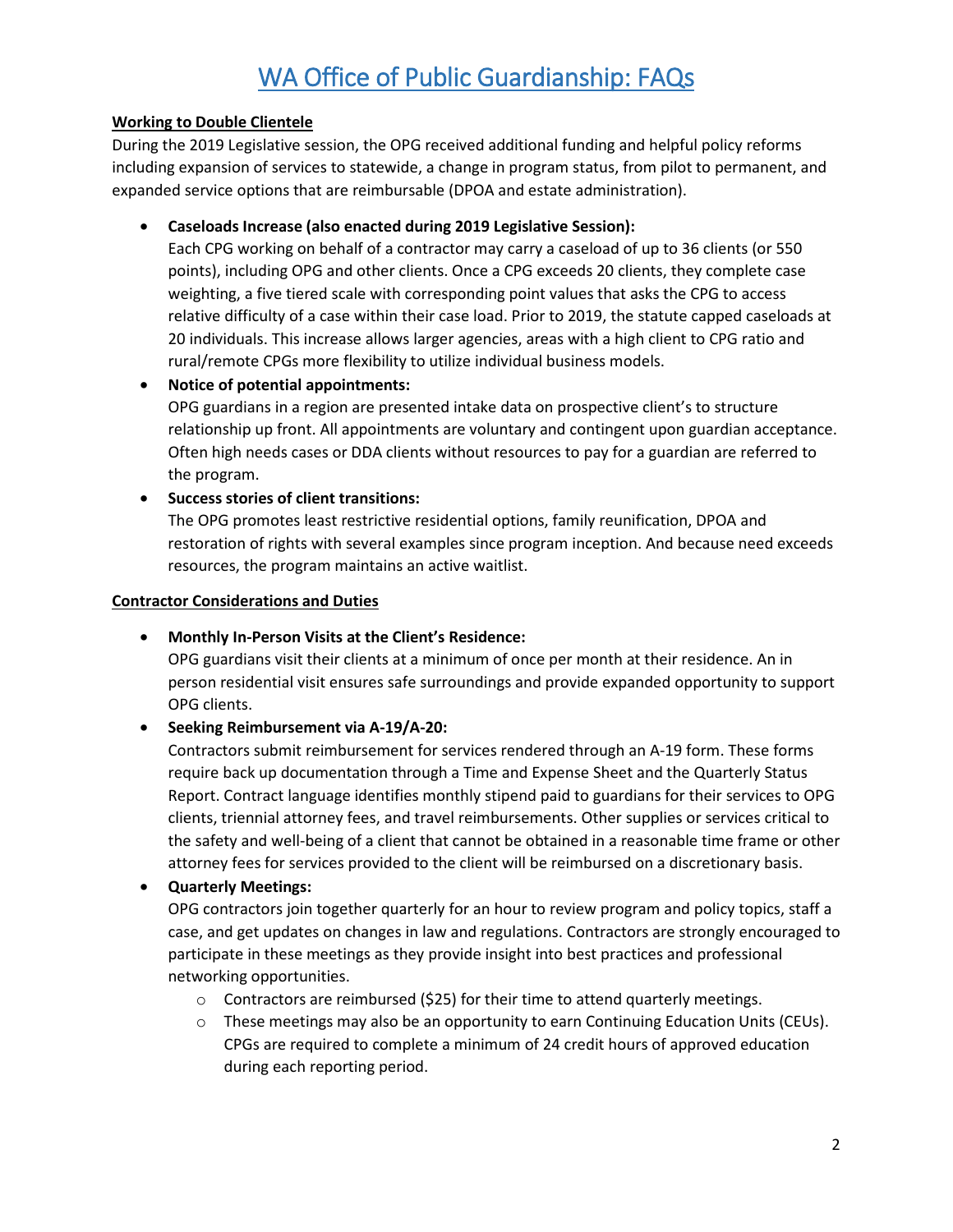# WA Office of Public Guardianship: FAQs

## **Working to Double Clientele**

During the 2019 Legislative session, the OPG received additional funding and helpful policy reforms including expansion of services to statewide, a change in program status, from pilot to permanent, and expanded service options that are reimbursable (DPOA and estate administration).

# • **Caseloads Increase (also enacted during 2019 Legislative Session):**

Each CPG working on behalf of a contractor may carry a caseload of up to 36 clients (or 550 points), including OPG and other clients. Once a CPG exceeds 20 clients, they complete case weighting, a five tiered scale with corresponding point values that asks the CPG to access relative difficulty of a case within their case load. Prior to 2019, the statute capped caseloads at 20 individuals. This increase allows larger agencies, areas with a high client to CPG ratio and rural/remote CPGs more flexibility to utilize individual business models.

## • **Notice of potential appointments:**

OPG guardians in a region are presented intake data on prospective client's to structure relationship up front. All appointments are voluntary and contingent upon guardian acceptance. Often high needs cases or DDA clients without resources to pay for a guardian are referred to the program.

## • **Success stories of client transitions:**

The OPG promotes least restrictive residential options, family reunification, DPOA and restoration of rights with several examples since program inception. And because need exceeds resources, the program maintains an active waitlist.

#### **Contractor Considerations and Duties**

#### • **Monthly In-Person Visits at the Client's Residence:**

OPG guardians visit their clients at a minimum of once per month at their residence. An in person residential visit ensures safe surroundings and provide expanded opportunity to support OPG clients.

# • **Seeking Reimbursement via A-19/A-20:**

Contractors submit reimbursement for services rendered through an A-19 form. These forms require back up documentation through a Time and Expense Sheet and the Quarterly Status Report. Contract language identifies monthly stipend paid to guardians for their services to OPG clients, triennial attorney fees, and travel reimbursements. Other supplies or services critical to the safety and well-being of a client that cannot be obtained in a reasonable time frame or other attorney fees for services provided to the client will be reimbursed on a discretionary basis.

# • **Quarterly Meetings:**

OPG contractors join together quarterly for an hour to review program and policy topics, staff a case, and get updates on changes in law and regulations. Contractors are strongly encouraged to participate in these meetings as they provide insight into best practices and professional networking opportunities.

- o Contractors are reimbursed (\$25) for their time to attend quarterly meetings.
- $\circ$  These meetings may also be an opportunity to earn Continuing Education Units (CEUs). CPGs are required to complete a minimum of 24 credit hours of approved education during each reporting period.